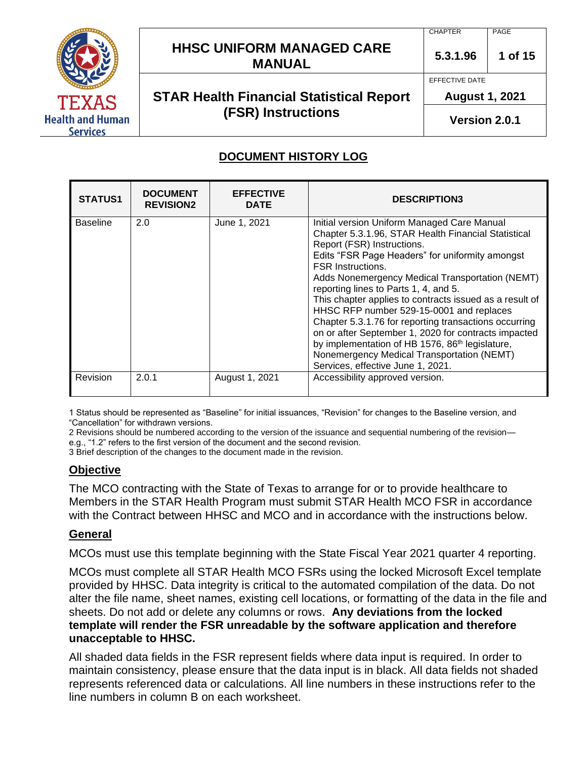

# **HHSC UNIFORM MANAGED CARE MANUAL** 5.3.1.96 1 of 15

# **STAR Health Financial Statistical Report (FSR) Instructions**

PAGE

**5.3.1.96**

EFFECTIVE DATE

**CHAPTER** 

**August 1, 2021** 

**Version 2.0.1**

## **DOCUMENT HISTORY LOG**

| <b>STATUS1</b>  | <b>DOCUMENT</b><br><b>REVISION2</b> | <b>EFFECTIVE</b><br><b>DATE</b> | <b>DESCRIPTION3</b>                                                                                                                                                                                                                                                                                                                                                                                                                                                                                                                                                                                                                                                                   |
|-----------------|-------------------------------------|---------------------------------|---------------------------------------------------------------------------------------------------------------------------------------------------------------------------------------------------------------------------------------------------------------------------------------------------------------------------------------------------------------------------------------------------------------------------------------------------------------------------------------------------------------------------------------------------------------------------------------------------------------------------------------------------------------------------------------|
| <b>Baseline</b> | 2.0                                 | June 1, 2021                    | Initial version Uniform Managed Care Manual<br>Chapter 5.3.1.96, STAR Health Financial Statistical<br>Report (FSR) Instructions.<br>Edits "FSR Page Headers" for uniformity amongst<br><b>FSR Instructions.</b><br>Adds Nonemergency Medical Transportation (NEMT)<br>reporting lines to Parts 1, 4, and 5.<br>This chapter applies to contracts issued as a result of<br>HHSC RFP number 529-15-0001 and replaces<br>Chapter 5.3.1.76 for reporting transactions occurring<br>on or after September 1, 2020 for contracts impacted<br>by implementation of HB 1576, 86 <sup>th</sup> legislature,<br>Nonemergency Medical Transportation (NEMT)<br>Services, effective June 1, 2021. |
| Revision        | 2.0.1                               | August 1, 2021                  | Accessibility approved version.                                                                                                                                                                                                                                                                                                                                                                                                                                                                                                                                                                                                                                                       |

1 Status should be represented as "Baseline" for initial issuances, "Revision" for changes to the Baseline version, and "Cancellation" for withdrawn versions.

2 Revisions should be numbered according to the version of the issuance and sequential numbering of the revision e.g., "1.2" refers to the first version of the document and the second revision.

3 Brief description of the changes to the document made in the revision.

## **Objective**

The MCO contracting with the State of Texas to arrange for or to provide healthcare to Members in the STAR Health Program must submit STAR Health MCO FSR in accordance with the Contract between HHSC and MCO and in accordance with the instructions below.

## **General**

MCOs must use this template beginning with the State Fiscal Year 2021 quarter 4 reporting.

MCOs must complete all STAR Health MCO FSRs using the locked Microsoft Excel template provided by HHSC. Data integrity is critical to the automated compilation of the data. Do not alter the file name, sheet names, existing cell locations, or formatting of the data in the file and sheets. Do not add or delete any columns or rows. **Any deviations from the locked template will render the FSR unreadable by the software application and therefore unacceptable to HHSC.**

All shaded data fields in the FSR represent fields where data input is required. In order to maintain consistency, please ensure that the data input is in black. All data fields not shaded represents referenced data or calculations. All line numbers in these instructions refer to the line numbers in column B on each worksheet.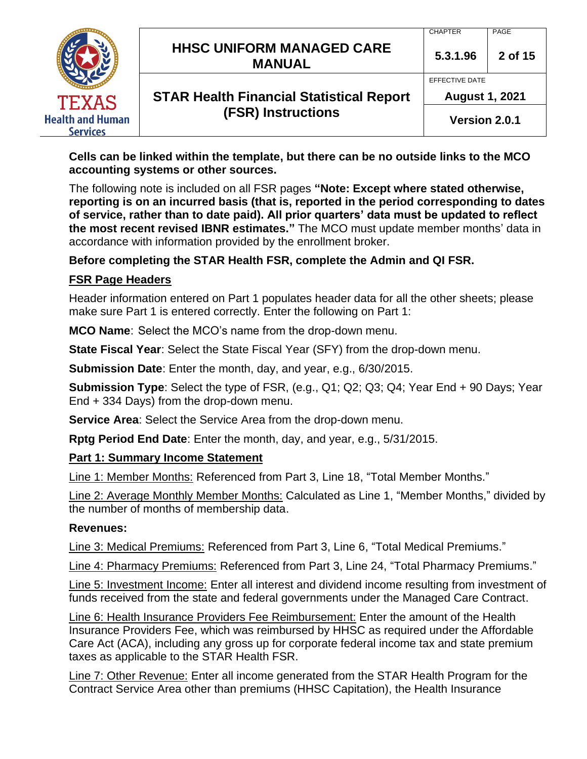|                                            |                                                   | <b>CHAPTER</b>        | PAGE    |
|--------------------------------------------|---------------------------------------------------|-----------------------|---------|
|                                            | <b>HHSC UNIFORM MANAGED CARE</b><br><b>MANUAL</b> | 5.3.1.96              | 2 of 15 |
|                                            |                                                   | EFFECTIVE DATE        |         |
| <b>TEXAS</b>                               | <b>STAR Health Financial Statistical Report</b>   | <b>August 1, 2021</b> |         |
| <b>Health and Human</b><br><b>Services</b> | (FSR) Instructions                                | Version 2.0.1         |         |

**Cells can be linked within the template, but there can be no outside links to the MCO accounting systems or other sources.**

The following note is included on all FSR pages **"Note: Except where stated otherwise, reporting is on an incurred basis (that is, reported in the period corresponding to dates of service, rather than to date paid). All prior quarters' data must be updated to reflect the most recent revised IBNR estimates."** The MCO must update member months' data in accordance with information provided by the enrollment broker.

## **Before completing the STAR Health FSR, complete the Admin and QI FSR.**

#### **FSR Page Headers**

Header information entered on Part 1 populates header data for all the other sheets; please make sure Part 1 is entered correctly. Enter the following on Part 1:

**MCO Name**: Select the MCO's name from the drop-down menu.

**State Fiscal Year**: Select the State Fiscal Year (SFY) from the drop-down menu.

**Submission Date**: Enter the month, day, and year, e.g., 6/30/2015.

**Submission Type**: Select the type of FSR, (e.g., Q1; Q2; Q3; Q4; Year End + 90 Days; Year End + 334 Days) from the drop-down menu.

**Service Area**: Select the Service Area from the drop-down menu.

**Rptg Period End Date**: Enter the month, day, and year, e.g., 5/31/2015.

#### **Part 1: Summary Income Statement**

Line 1: Member Months: Referenced from Part 3, Line 18, "Total Member Months."

Line 2: Average Monthly Member Months: Calculated as Line 1, "Member Months," divided by the number of months of membership data.

#### **Revenues:**

Line 3: Medical Premiums: Referenced from Part 3, Line 6, "Total Medical Premiums."

Line 4: Pharmacy Premiums: Referenced from Part 3, Line 24, "Total Pharmacy Premiums."

Line 5: Investment Income: Enter all interest and dividend income resulting from investment of funds received from the state and federal governments under the Managed Care Contract.

Line 6: Health Insurance Providers Fee Reimbursement: Enter the amount of the Health Insurance Providers Fee, which was reimbursed by HHSC as required under the Affordable Care Act (ACA), including any gross up for corporate federal income tax and state premium taxes as applicable to the STAR Health FSR.

Line 7: Other Revenue: Enter all income generated from the STAR Health Program for the Contract Service Area other than premiums (HHSC Capitation), the Health Insurance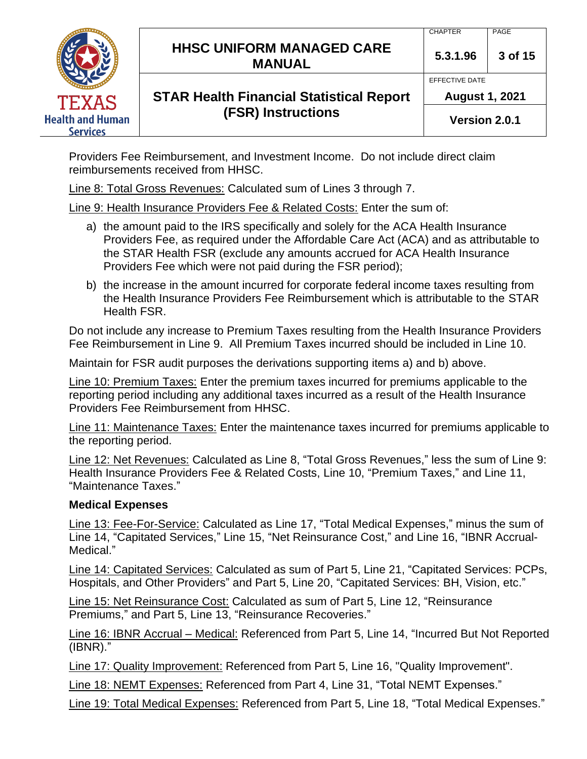|                                            | <b>HHSC UNIFORM MANAGED CARE</b><br><b>MANUAL</b> | <b>CHAPTER</b><br>5.3.1.96              | PAGE<br>3 of 15 |
|--------------------------------------------|---------------------------------------------------|-----------------------------------------|-----------------|
| <b>TEXAS</b>                               | <b>STAR Health Financial Statistical Report</b>   | EFFECTIVE DATE<br><b>August 1, 2021</b> |                 |
| <b>Health and Human</b><br><b>Services</b> | <b>(FSR) Instructions</b>                         | Version 2.0.1                           |                 |

Providers Fee Reimbursement, and Investment Income. Do not include direct claim reimbursements received from HHSC.

Line 8: Total Gross Revenues: Calculated sum of Lines 3 through 7.

Line 9: Health Insurance Providers Fee & Related Costs: Enter the sum of:

- a) the amount paid to the IRS specifically and solely for the ACA Health Insurance Providers Fee, as required under the Affordable Care Act (ACA) and as attributable to the STAR Health FSR (exclude any amounts accrued for ACA Health Insurance Providers Fee which were not paid during the FSR period);
- b) the increase in the amount incurred for corporate federal income taxes resulting from the Health Insurance Providers Fee Reimbursement which is attributable to the STAR Health FSR.

Do not include any increase to Premium Taxes resulting from the Health Insurance Providers Fee Reimbursement in Line 9. All Premium Taxes incurred should be included in Line 10.

Maintain for FSR audit purposes the derivations supporting items a) and b) above.

Line 10: Premium Taxes: Enter the premium taxes incurred for premiums applicable to the reporting period including any additional taxes incurred as a result of the Health Insurance Providers Fee Reimbursement from HHSC.

Line 11: Maintenance Taxes: Enter the maintenance taxes incurred for premiums applicable to the reporting period.

Line 12: Net Revenues: Calculated as Line 8, "Total Gross Revenues," less the sum of Line 9: Health Insurance Providers Fee & Related Costs, Line 10, "Premium Taxes," and Line 11, "Maintenance Taxes."

#### **Medical Expenses**

Line 13: Fee-For-Service: Calculated as Line 17, "Total Medical Expenses," minus the sum of Line 14, "Capitated Services," Line 15, "Net Reinsurance Cost," and Line 16, "IBNR Accrual-Medical."

Line 14: Capitated Services: Calculated as sum of Part 5, Line 21, "Capitated Services: PCPs, Hospitals, and Other Providers" and Part 5, Line 20, "Capitated Services: BH, Vision, etc."

Line 15: Net Reinsurance Cost: Calculated as sum of Part 5, Line 12, "Reinsurance Premiums," and Part 5, Line 13, "Reinsurance Recoveries."

Line 16: IBNR Accrual – Medical: Referenced from Part 5, Line 14, "Incurred But Not Reported (IBNR)."

Line 17: Quality Improvement: Referenced from Part 5, Line 16, "Quality Improvement".

Line 18: NEMT Expenses: Referenced from Part 4, Line 31, "Total NEMT Expenses."

Line 19: Total Medical Expenses: Referenced from Part 5, Line 18, "Total Medical Expenses."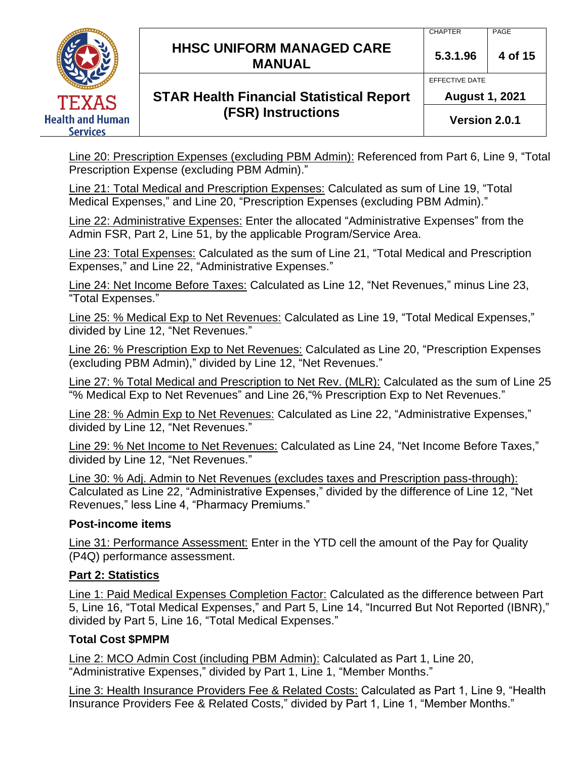|                         | <b>HHSC UNIFORM MANAGED CARE</b><br><b>MANUAL</b> | <b>CHAPTER</b><br>5.3.1.96 | <b>PAGE</b><br>4 of 15 |
|-------------------------|---------------------------------------------------|----------------------------|------------------------|
|                         |                                                   | EFFECTIVE DATE             |                        |
| <b>TEXAS</b>            | <b>STAR Health Financial Statistical Report</b>   | <b>August 1, 2021</b>      |                        |
| <b>Health and Human</b> | <b>(FSR) Instructions</b>                         | Version 2.0.1              |                        |

Line 20: Prescription Expenses (excluding PBM Admin): Referenced from Part 6, Line 9, "Total Prescription Expense (excluding PBM Admin)."

Line 21: Total Medical and Prescription Expenses: Calculated as sum of Line 19, "Total Medical Expenses," and Line 20, "Prescription Expenses (excluding PBM Admin)."

Line 22: Administrative Expenses: Enter the allocated "Administrative Expenses" from the Admin FSR, Part 2, Line 51, by the applicable Program/Service Area.

Line 23: Total Expenses: Calculated as the sum of Line 21, "Total Medical and Prescription Expenses," and Line 22, "Administrative Expenses."

Line 24: Net Income Before Taxes: Calculated as Line 12, "Net Revenues," minus Line 23, "Total Expenses."

Line 25: % Medical Exp to Net Revenues: Calculated as Line 19, "Total Medical Expenses," divided by Line 12, "Net Revenues."

Line 26: % Prescription Exp to Net Revenues: Calculated as Line 20, "Prescription Expenses (excluding PBM Admin)," divided by Line 12, "Net Revenues."

Line 27: % Total Medical and Prescription to Net Rev. (MLR): Calculated as the sum of Line 25 "% Medical Exp to Net Revenues" and Line 26,"% Prescription Exp to Net Revenues."

Line 28: % Admin Exp to Net Revenues: Calculated as Line 22, "Administrative Expenses," divided by Line 12, "Net Revenues."

Line 29: % Net Income to Net Revenues: Calculated as Line 24, "Net Income Before Taxes," divided by Line 12, "Net Revenues."

Line 30: % Adj. Admin to Net Revenues (excludes taxes and Prescription pass-through): Calculated as Line 22, "Administrative Expenses," divided by the difference of Line 12, "Net Revenues," less Line 4, "Pharmacy Premiums."

## **Post-income items**

Line 31: Performance Assessment: Enter in the YTD cell the amount of the Pay for Quality (P4Q) performance assessment.

## **Part 2: Statistics**

Line 1: Paid Medical Expenses Completion Factor: Calculated as the difference between Part 5, Line 16, "Total Medical Expenses," and Part 5, Line 14, "Incurred But Not Reported (IBNR)," divided by Part 5, Line 16, "Total Medical Expenses."

## **Total Cost \$PMPM**

Line 2: MCO Admin Cost (including PBM Admin): Calculated as Part 1, Line 20, "Administrative Expenses," divided by Part 1, Line 1, "Member Months."

Line 3: Health Insurance Providers Fee & Related Costs: Calculated as Part 1, Line 9, "Health Insurance Providers Fee & Related Costs," divided by Part 1, Line 1, "Member Months."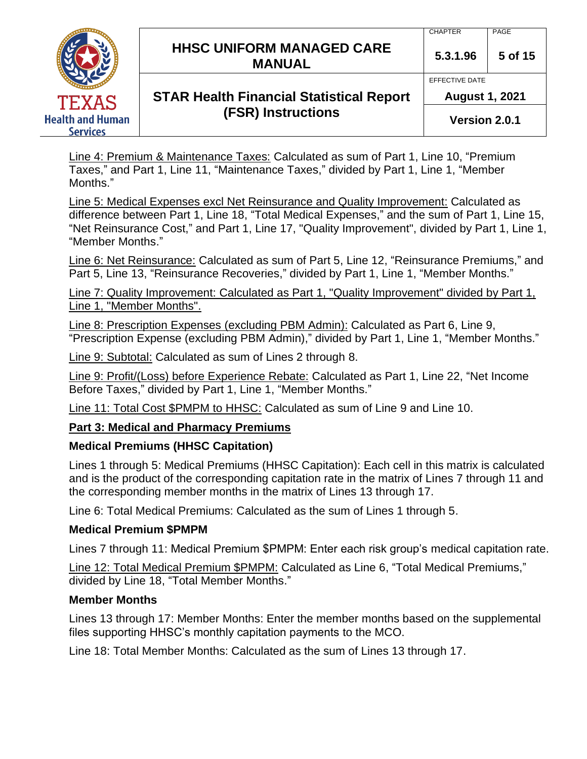|                                     | <b>HHSC UNIFORM MANAGED CARE</b><br><b>MANUAL</b> | <b>CHAPTER</b><br>5.3.1.96 | PAGE<br>5 of 15 |
|-------------------------------------|---------------------------------------------------|----------------------------|-----------------|
|                                     |                                                   | EFFECTIVE DATE             |                 |
| TEXAS                               | <b>STAR Health Financial Statistical Report</b>   | <b>August 1, 2021</b>      |                 |
| <b>Health and Human</b><br>Services | <b>(FSR) Instructions</b>                         | Version 2.0.1              |                 |

Line 4: Premium & Maintenance Taxes: Calculated as sum of Part 1, Line 10, "Premium Taxes," and Part 1, Line 11, "Maintenance Taxes," divided by Part 1, Line 1, "Member Months."

Line 5: Medical Expenses excl Net Reinsurance and Quality Improvement: Calculated as difference between Part 1, Line 18, "Total Medical Expenses," and the sum of Part 1, Line 15, "Net Reinsurance Cost," and Part 1, Line 17, "Quality Improvement", divided by Part 1, Line 1, "Member Months."

Line 6: Net Reinsurance: Calculated as sum of Part 5, Line 12, "Reinsurance Premiums," and Part 5, Line 13, "Reinsurance Recoveries," divided by Part 1, Line 1, "Member Months."

Line 7: Quality Improvement: Calculated as Part 1, "Quality Improvement" divided by Part 1, Line 1, "Member Months".

Line 8: Prescription Expenses (excluding PBM Admin): Calculated as Part 6, Line 9, "Prescription Expense (excluding PBM Admin)," divided by Part 1, Line 1, "Member Months."

Line 9: Subtotal: Calculated as sum of Lines 2 through 8.

Line 9: Profit/(Loss) before Experience Rebate: Calculated as Part 1, Line 22, "Net Income Before Taxes," divided by Part 1, Line 1, "Member Months."

Line 11: Total Cost \$PMPM to HHSC: Calculated as sum of Line 9 and Line 10.

## **Part 3: Medical and Pharmacy Premiums**

## **Medical Premiums (HHSC Capitation)**

Lines 1 through 5: Medical Premiums (HHSC Capitation): Each cell in this matrix is calculated and is the product of the corresponding capitation rate in the matrix of Lines 7 through 11 and the corresponding member months in the matrix of Lines 13 through 17.

Line 6: Total Medical Premiums: Calculated as the sum of Lines 1 through 5.

## **Medical Premium \$PMPM**

Lines 7 through 11: Medical Premium \$PMPM: Enter each risk group's medical capitation rate.

Line 12: Total Medical Premium \$PMPM: Calculated as Line 6, "Total Medical Premiums," divided by Line 18, "Total Member Months."

## **Member Months**

Lines 13 through 17: Member Months: Enter the member months based on the supplemental files supporting HHSC's monthly capitation payments to the MCO.

Line 18: Total Member Months: Calculated as the sum of Lines 13 through 17.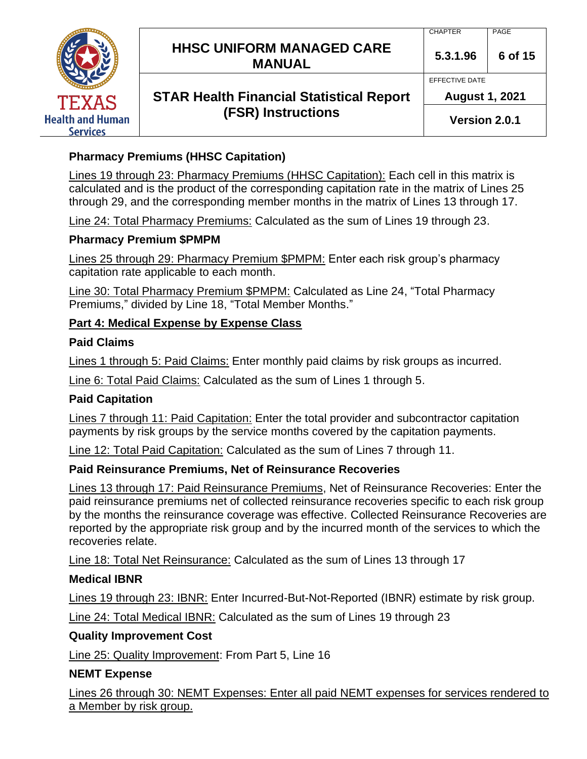|                                     |                                                   | <b>CHAPTER</b>        | PAGE    |
|-------------------------------------|---------------------------------------------------|-----------------------|---------|
|                                     | <b>HHSC UNIFORM MANAGED CARE</b><br><b>MANUAL</b> | 5.3.1.96              | 6 of 15 |
|                                     |                                                   | EFFECTIVE DATE        |         |
| TEXAS                               | <b>STAR Health Financial Statistical Report</b>   | <b>August 1, 2021</b> |         |
| <b>Health and Human</b><br>Services | <b>(FSR) Instructions</b>                         | Version 2.0.1         |         |

## **Pharmacy Premiums (HHSC Capitation)**

Lines 19 through 23: Pharmacy Premiums (HHSC Capitation): Each cell in this matrix is calculated and is the product of the corresponding capitation rate in the matrix of Lines 25 through 29, and the corresponding member months in the matrix of Lines 13 through 17.

Line 24: Total Pharmacy Premiums: Calculated as the sum of Lines 19 through 23.

#### **Pharmacy Premium \$PMPM**

Lines 25 through 29: Pharmacy Premium \$PMPM: Enter each risk group's pharmacy capitation rate applicable to each month.

Line 30: Total Pharmacy Premium \$PMPM: Calculated as Line 24, "Total Pharmacy Premiums," divided by Line 18, "Total Member Months."

## **Part 4: Medical Expense by Expense Class**

#### **Paid Claims**

Lines 1 through 5: Paid Claims: Enter monthly paid claims by risk groups as incurred.

Line 6: Total Paid Claims: Calculated as the sum of Lines 1 through 5.

## **Paid Capitation**

Lines 7 through 11: Paid Capitation: Enter the total provider and subcontractor capitation payments by risk groups by the service months covered by the capitation payments.

Line 12: Total Paid Capitation: Calculated as the sum of Lines 7 through 11.

## **Paid Reinsurance Premiums, Net of Reinsurance Recoveries**

Lines 13 through 17: Paid Reinsurance Premiums, Net of Reinsurance Recoveries: Enter the paid reinsurance premiums net of collected reinsurance recoveries specific to each risk group by the months the reinsurance coverage was effective. Collected Reinsurance Recoveries are reported by the appropriate risk group and by the incurred month of the services to which the recoveries relate.

Line 18: Total Net Reinsurance: Calculated as the sum of Lines 13 through 17

#### **Medical IBNR**

Lines 19 through 23: IBNR: Enter Incurred-But-Not-Reported (IBNR) estimate by risk group.

Line 24: Total Medical IBNR: Calculated as the sum of Lines 19 through 23

#### **Quality Improvement Cost**

Line 25: Quality Improvement: From Part 5, Line 16

## **NEMT Expense**

Lines 26 through 30: NEMT Expenses: Enter all paid NEMT expenses for services rendered to a Member by risk group.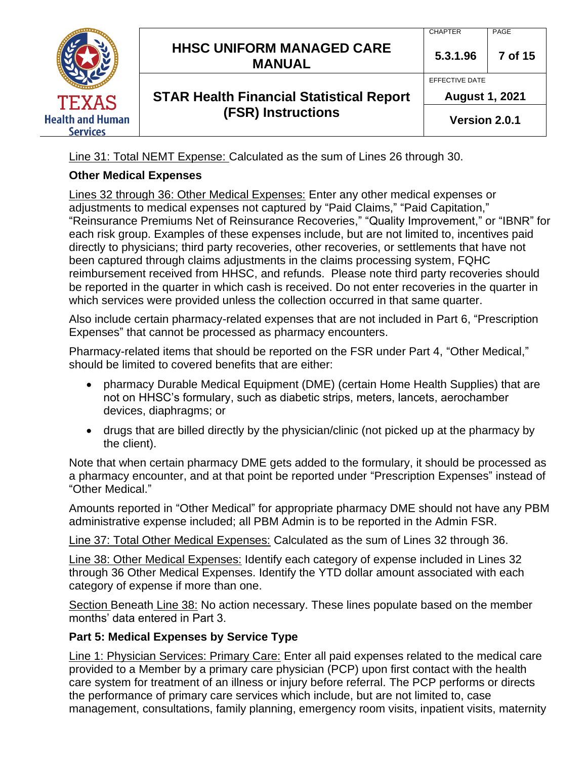|                                            | <b>HHSC UNIFORM MANAGED CARE</b><br><b>MANUAL</b> | <b>CHAPTER</b><br>5.3.1.96              | <b>PAGE</b><br>7 of 15 |
|--------------------------------------------|---------------------------------------------------|-----------------------------------------|------------------------|
| <b>TEXAS</b>                               | <b>STAR Health Financial Statistical Report</b>   | EFFECTIVE DATE<br><b>August 1, 2021</b> |                        |
| <b>Health and Human</b><br><b>Services</b> | (FSR) Instructions                                | Version 2.0.1                           |                        |

Line 31: Total NEMT Expense: Calculated as the sum of Lines 26 through 30.

## **Other Medical Expenses**

Lines 32 through 36: Other Medical Expenses: Enter any other medical expenses or adjustments to medical expenses not captured by "Paid Claims," "Paid Capitation," "Reinsurance Premiums Net of Reinsurance Recoveries," "Quality Improvement," or "IBNR" for each risk group. Examples of these expenses include, but are not limited to, incentives paid directly to physicians; third party recoveries, other recoveries, or settlements that have not been captured through claims adjustments in the claims processing system, FQHC reimbursement received from HHSC, and refunds. Please note third party recoveries should be reported in the quarter in which cash is received. Do not enter recoveries in the quarter in which services were provided unless the collection occurred in that same quarter.

Also include certain pharmacy-related expenses that are not included in Part 6, "Prescription Expenses" that cannot be processed as pharmacy encounters.

Pharmacy-related items that should be reported on the FSR under Part 4, "Other Medical," should be limited to covered benefits that are either:

- pharmacy Durable Medical Equipment (DME) (certain Home Health Supplies) that are not on HHSC's formulary, such as diabetic strips, meters, lancets, aerochamber devices, diaphragms; or
- drugs that are billed directly by the physician/clinic (not picked up at the pharmacy by the client).

Note that when certain pharmacy DME gets added to the formulary, it should be processed as a pharmacy encounter, and at that point be reported under "Prescription Expenses" instead of "Other Medical."

Amounts reported in "Other Medical" for appropriate pharmacy DME should not have any PBM administrative expense included; all PBM Admin is to be reported in the Admin FSR.

Line 37: Total Other Medical Expenses: Calculated as the sum of Lines 32 through 36.

Line 38: Other Medical Expenses: Identify each category of expense included in Lines 32 through 36 Other Medical Expenses. Identify the YTD dollar amount associated with each category of expense if more than one.

Section Beneath Line 38: No action necessary. These lines populate based on the member months' data entered in Part 3.

## **Part 5: Medical Expenses by Service Type**

Line 1: Physician Services: Primary Care: Enter all paid expenses related to the medical care provided to a Member by a primary care physician (PCP) upon first contact with the health care system for treatment of an illness or injury before referral. The PCP performs or directs the performance of primary care services which include, but are not limited to, case management, consultations, family planning, emergency room visits, inpatient visits, maternity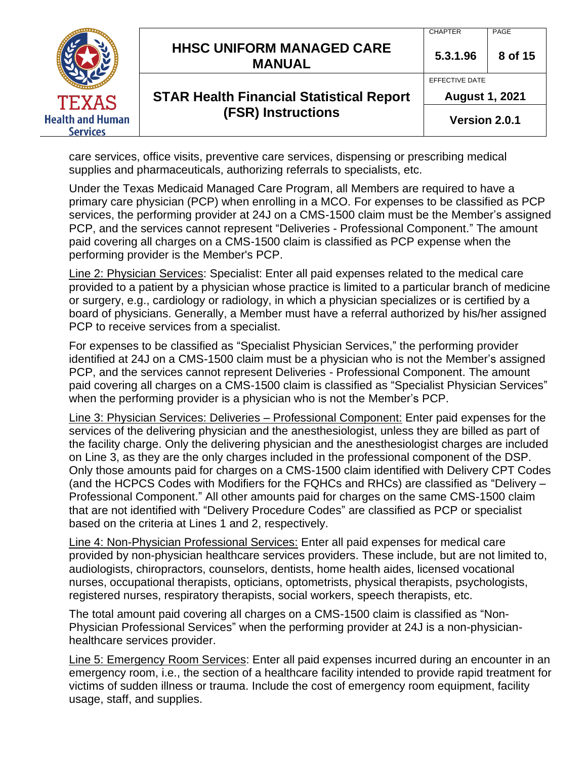|                                            | <b>HHSC UNIFORM MANAGED CARE</b><br><b>MANUAL</b> | <b>CHAPTER</b><br>5.3.1.96              | PAGE<br>8 of 15 |
|--------------------------------------------|---------------------------------------------------|-----------------------------------------|-----------------|
| <b>TEXAS</b>                               | <b>STAR Health Financial Statistical Report</b>   | EFFECTIVE DATE<br><b>August 1, 2021</b> |                 |
| <b>Health and Human</b><br><b>Services</b> | <b>(FSR) Instructions</b>                         | Version 2.0.1                           |                 |

care services, office visits, preventive care services, dispensing or prescribing medical supplies and pharmaceuticals, authorizing referrals to specialists, etc.

Under the Texas Medicaid Managed Care Program, all Members are required to have a primary care physician (PCP) when enrolling in a MCO. For expenses to be classified as PCP services, the performing provider at 24J on a CMS-1500 claim must be the Member's assigned PCP, and the services cannot represent "Deliveries - Professional Component." The amount paid covering all charges on a CMS-1500 claim is classified as PCP expense when the performing provider is the Member's PCP.

Line 2: Physician Services: Specialist: Enter all paid expenses related to the medical care provided to a patient by a physician whose practice is limited to a particular branch of medicine or surgery, e.g., cardiology or radiology, in which a physician specializes or is certified by a board of physicians. Generally, a Member must have a referral authorized by his/her assigned PCP to receive services from a specialist.

For expenses to be classified as "Specialist Physician Services," the performing provider identified at 24J on a CMS-1500 claim must be a physician who is not the Member's assigned PCP, and the services cannot represent Deliveries - Professional Component. The amount paid covering all charges on a CMS-1500 claim is classified as "Specialist Physician Services" when the performing provider is a physician who is not the Member's PCP.

Line 3: Physician Services: Deliveries – Professional Component: Enter paid expenses for the services of the delivering physician and the anesthesiologist, unless they are billed as part of the facility charge. Only the delivering physician and the anesthesiologist charges are included on Line 3, as they are the only charges included in the professional component of the DSP. Only those amounts paid for charges on a CMS-1500 claim identified with Delivery CPT Codes (and the HCPCS Codes with Modifiers for the FQHCs and RHCs) are classified as "Delivery – Professional Component." All other amounts paid for charges on the same CMS-1500 claim that are not identified with "Delivery Procedure Codes" are classified as PCP or specialist based on the criteria at Lines 1 and 2, respectively.

Line 4: Non-Physician Professional Services: Enter all paid expenses for medical care provided by non-physician healthcare services providers. These include, but are not limited to, audiologists, chiropractors, counselors, dentists, home health aides, licensed vocational nurses, occupational therapists, opticians, optometrists, physical therapists, psychologists, registered nurses, respiratory therapists, social workers, speech therapists, etc.

The total amount paid covering all charges on a CMS-1500 claim is classified as "Non-Physician Professional Services" when the performing provider at 24J is a non-physicianhealthcare services provider.

Line 5: Emergency Room Services: Enter all paid expenses incurred during an encounter in an emergency room, i.e., the section of a healthcare facility intended to provide rapid treatment for victims of sudden illness or trauma. Include the cost of emergency room equipment, facility usage, staff, and supplies.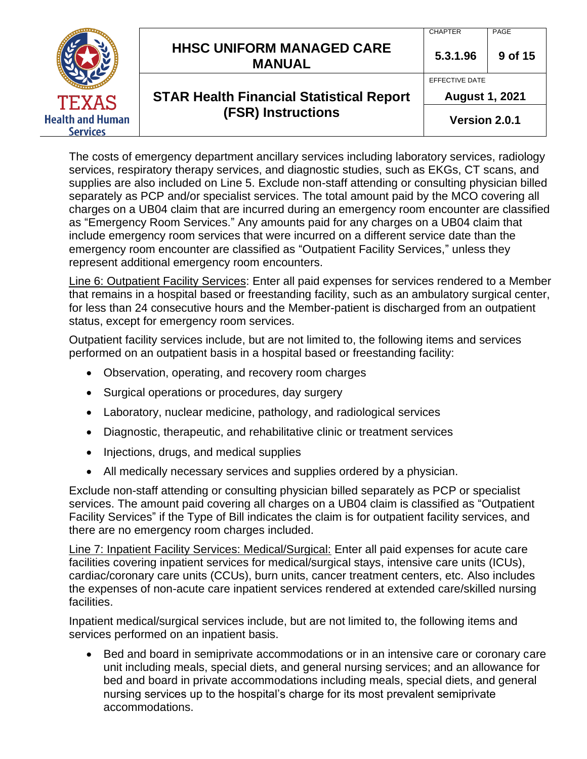|                                            | <b>HHSC UNIFORM MANAGED CARE</b><br><b>MANUAL</b> | <b>CHAPTER</b><br>5.3.1.96              | PAGE<br>9 of 15 |
|--------------------------------------------|---------------------------------------------------|-----------------------------------------|-----------------|
| <b>TEXAS</b>                               | <b>STAR Health Financial Statistical Report</b>   | EFFECTIVE DATE<br><b>August 1, 2021</b> |                 |
| <b>Health and Human</b><br><b>Services</b> | <b>(FSR) Instructions</b>                         | Version 2.0.1                           |                 |

The costs of emergency department ancillary services including laboratory services, radiology services, respiratory therapy services, and diagnostic studies, such as EKGs, CT scans, and supplies are also included on Line 5. Exclude non-staff attending or consulting physician billed separately as PCP and/or specialist services. The total amount paid by the MCO covering all charges on a UB04 claim that are incurred during an emergency room encounter are classified as "Emergency Room Services." Any amounts paid for any charges on a UB04 claim that include emergency room services that were incurred on a different service date than the emergency room encounter are classified as "Outpatient Facility Services," unless they represent additional emergency room encounters.

Line 6: Outpatient Facility Services: Enter all paid expenses for services rendered to a Member that remains in a hospital based or freestanding facility, such as an ambulatory surgical center, for less than 24 consecutive hours and the Member-patient is discharged from an outpatient status, except for emergency room services.

Outpatient facility services include, but are not limited to, the following items and services performed on an outpatient basis in a hospital based or freestanding facility:

- Observation, operating, and recovery room charges
- Surgical operations or procedures, day surgery
- Laboratory, nuclear medicine, pathology, and radiological services
- Diagnostic, therapeutic, and rehabilitative clinic or treatment services
- Injections, drugs, and medical supplies
- All medically necessary services and supplies ordered by a physician.

Exclude non-staff attending or consulting physician billed separately as PCP or specialist services. The amount paid covering all charges on a UB04 claim is classified as "Outpatient Facility Services" if the Type of Bill indicates the claim is for outpatient facility services, and there are no emergency room charges included.

Line 7: Inpatient Facility Services: Medical/Surgical: Enter all paid expenses for acute care facilities covering inpatient services for medical/surgical stays, intensive care units (ICUs), cardiac/coronary care units (CCUs), burn units, cancer treatment centers, etc. Also includes the expenses of non-acute care inpatient services rendered at extended care/skilled nursing facilities.

Inpatient medical/surgical services include, but are not limited to, the following items and services performed on an inpatient basis.

• Bed and board in semiprivate accommodations or in an intensive care or coronary care unit including meals, special diets, and general nursing services; and an allowance for bed and board in private accommodations including meals, special diets, and general nursing services up to the hospital's charge for its most prevalent semiprivate accommodations.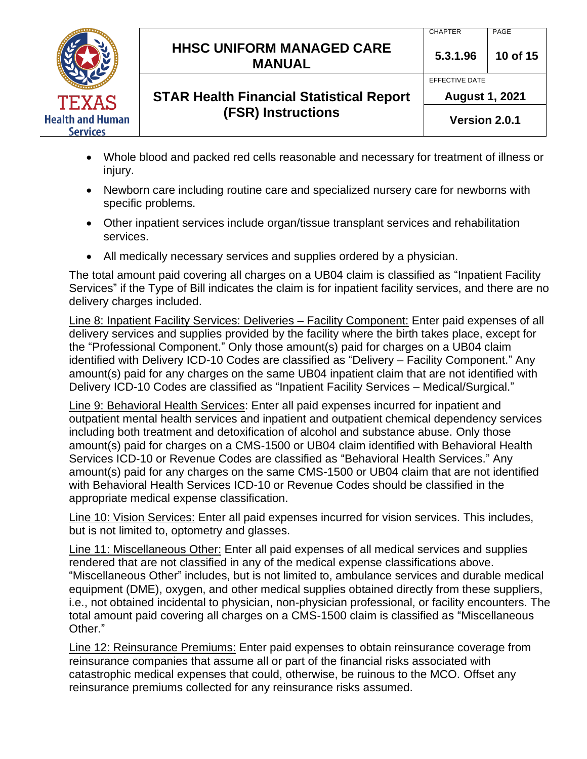

# **HHSC UNIFORM MANAGED CARE MANUAL 5.3.1.96 <sup>10</sup> of 15**

EFFECTIVE DATE

**August 1, 2021**

## **STAR Health Financial Statistical Report (FSR) Instructions**

**Version 2.0.1**

- Whole blood and packed red cells reasonable and necessary for treatment of illness or injury.
- Newborn care including routine care and specialized nursery care for newborns with specific problems.
- Other inpatient services include organ/tissue transplant services and rehabilitation services.
- All medically necessary services and supplies ordered by a physician.

The total amount paid covering all charges on a UB04 claim is classified as "Inpatient Facility Services" if the Type of Bill indicates the claim is for inpatient facility services, and there are no delivery charges included.

Line 8: Inpatient Facility Services: Deliveries – Facility Component: Enter paid expenses of all delivery services and supplies provided by the facility where the birth takes place, except for the "Professional Component." Only those amount(s) paid for charges on a UB04 claim identified with Delivery ICD-10 Codes are classified as "Delivery – Facility Component." Any amount(s) paid for any charges on the same UB04 inpatient claim that are not identified with Delivery ICD-10 Codes are classified as "Inpatient Facility Services – Medical/Surgical."

Line 9: Behavioral Health Services: Enter all paid expenses incurred for inpatient and outpatient mental health services and inpatient and outpatient chemical dependency services including both treatment and detoxification of alcohol and substance abuse. Only those amount(s) paid for charges on a CMS-1500 or UB04 claim identified with Behavioral Health Services ICD-10 or Revenue Codes are classified as "Behavioral Health Services." Any amount(s) paid for any charges on the same CMS-1500 or UB04 claim that are not identified with Behavioral Health Services ICD-10 or Revenue Codes should be classified in the appropriate medical expense classification.

Line 10: Vision Services: Enter all paid expenses incurred for vision services. This includes, but is not limited to, optometry and glasses.

Line 11: Miscellaneous Other: Enter all paid expenses of all medical services and supplies rendered that are not classified in any of the medical expense classifications above. "Miscellaneous Other" includes, but is not limited to, ambulance services and durable medical equipment (DME), oxygen, and other medical supplies obtained directly from these suppliers, i.e., not obtained incidental to physician, non-physician professional, or facility encounters. The total amount paid covering all charges on a CMS-1500 claim is classified as "Miscellaneous Other."

Line 12: Reinsurance Premiums: Enter paid expenses to obtain reinsurance coverage from reinsurance companies that assume all or part of the financial risks associated with catastrophic medical expenses that could, otherwise, be ruinous to the MCO. Offset any reinsurance premiums collected for any reinsurance risks assumed.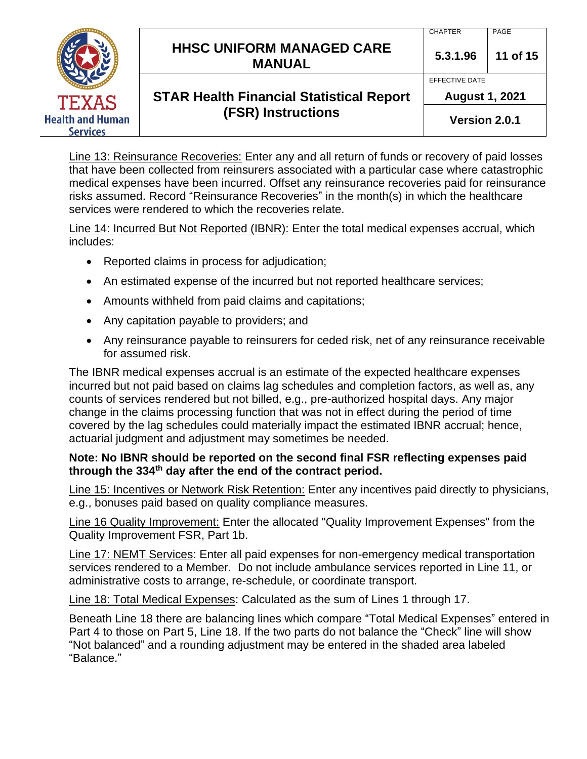|                                            |                                                   | <b>CHAPTER</b>        | PAGE     |
|--------------------------------------------|---------------------------------------------------|-----------------------|----------|
|                                            | <b>HHSC UNIFORM MANAGED CARE</b><br><b>MANUAL</b> | 5.3.1.96              | 11 of 15 |
|                                            |                                                   | EFFECTIVE DATE        |          |
| <b>TEXAS</b>                               | <b>STAR Health Financial Statistical Report</b>   | <b>August 1, 2021</b> |          |
| <b>Health and Human</b><br><b>Services</b> | <b>(FSR) Instructions</b>                         | Version 2.0.1         |          |

Line 13: Reinsurance Recoveries: Enter any and all return of funds or recovery of paid losses that have been collected from reinsurers associated with a particular case where catastrophic medical expenses have been incurred. Offset any reinsurance recoveries paid for reinsurance risks assumed. Record "Reinsurance Recoveries" in the month(s) in which the healthcare services were rendered to which the recoveries relate.

Line 14: Incurred But Not Reported (IBNR): Enter the total medical expenses accrual, which includes:

- Reported claims in process for adjudication;
- An estimated expense of the incurred but not reported healthcare services;
- Amounts withheld from paid claims and capitations;
- Any capitation payable to providers; and
- Any reinsurance payable to reinsurers for ceded risk, net of any reinsurance receivable for assumed risk.

The IBNR medical expenses accrual is an estimate of the expected healthcare expenses incurred but not paid based on claims lag schedules and completion factors, as well as, any counts of services rendered but not billed, e.g., pre-authorized hospital days. Any major change in the claims processing function that was not in effect during the period of time covered by the lag schedules could materially impact the estimated IBNR accrual; hence, actuarial judgment and adjustment may sometimes be needed.

#### **Note: No IBNR should be reported on the second final FSR reflecting expenses paid through the 334th day after the end of the contract period.**

Line 15: Incentives or Network Risk Retention: Enter any incentives paid directly to physicians, e.g., bonuses paid based on quality compliance measures.

Line 16 Quality Improvement: Enter the allocated "Quality Improvement Expenses" from the Quality Improvement FSR, Part 1b.

Line 17: NEMT Services: Enter all paid expenses for non-emergency medical transportation services rendered to a Member. Do not include ambulance services reported in Line 11, or administrative costs to arrange, re-schedule, or coordinate transport.

Line 18: Total Medical Expenses: Calculated as the sum of Lines 1 through 17.

Beneath Line 18 there are balancing lines which compare "Total Medical Expenses" entered in Part 4 to those on Part 5, Line 18. If the two parts do not balance the "Check" line will show "Not balanced" and a rounding adjustment may be entered in the shaded area labeled "Balance."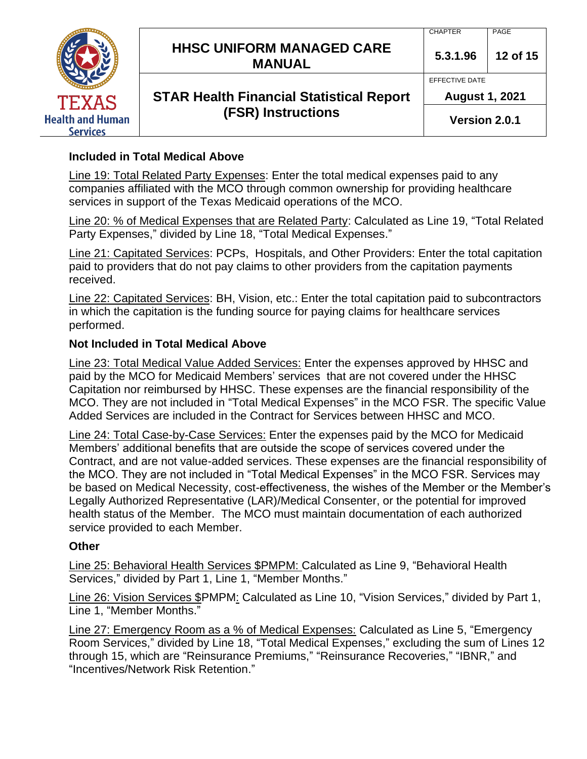|                                            | <b>HHSC UNIFORM MANAGED CARE</b>                                 | <b>CHAPTER</b><br>5.3.1.96              | PAGE<br>12 of 15 |
|--------------------------------------------|------------------------------------------------------------------|-----------------------------------------|------------------|
| <b>TEXAS</b>                               | <b>MANUAL</b><br><b>STAR Health Financial Statistical Report</b> | EFFECTIVE DATE<br><b>August 1, 2021</b> |                  |
| <b>Health and Human</b><br><b>Services</b> | <b>(FSR) Instructions</b>                                        | Version 2.0.1                           |                  |

### **Included in Total Medical Above**

Line 19: Total Related Party Expenses: Enter the total medical expenses paid to any companies affiliated with the MCO through common ownership for providing healthcare services in support of the Texas Medicaid operations of the MCO.

Line 20: % of Medical Expenses that are Related Party: Calculated as Line 19, "Total Related Party Expenses," divided by Line 18, "Total Medical Expenses."

Line 21: Capitated Services: PCPs, Hospitals, and Other Providers: Enter the total capitation paid to providers that do not pay claims to other providers from the capitation payments received.

Line 22: Capitated Services: BH, Vision, etc.: Enter the total capitation paid to subcontractors in which the capitation is the funding source for paying claims for healthcare services performed.

#### **Not Included in Total Medical Above**

Line 23: Total Medical Value Added Services: Enter the expenses approved by HHSC and paid by the MCO for Medicaid Members' services that are not covered under the HHSC Capitation nor reimbursed by HHSC. These expenses are the financial responsibility of the MCO. They are not included in "Total Medical Expenses" in the MCO FSR. The specific Value Added Services are included in the Contract for Services between HHSC and MCO.

Line 24: Total Case-by-Case Services: Enter the expenses paid by the MCO for Medicaid Members' additional benefits that are outside the scope of services covered under the Contract, and are not value-added services. These expenses are the financial responsibility of the MCO. They are not included in "Total Medical Expenses" in the MCO FSR. Services may be based on Medical Necessity, cost-effectiveness, the wishes of the Member or the Member's Legally Authorized Representative (LAR)/Medical Consenter, or the potential for improved health status of the Member. The MCO must maintain documentation of each authorized service provided to each Member.

#### **Other**

Line 25: Behavioral Health Services \$PMPM: Calculated as Line 9, "Behavioral Health Services," divided by Part 1, Line 1, "Member Months."

Line 26: Vision Services \$PMPM: Calculated as Line 10, "Vision Services," divided by Part 1, Line 1, "Member Months."

Line 27: Emergency Room as a % of Medical Expenses: Calculated as Line 5, "Emergency Room Services," divided by Line 18, "Total Medical Expenses," excluding the sum of Lines 12 through 15, which are "Reinsurance Premiums," "Reinsurance Recoveries," "IBNR," and "Incentives/Network Risk Retention."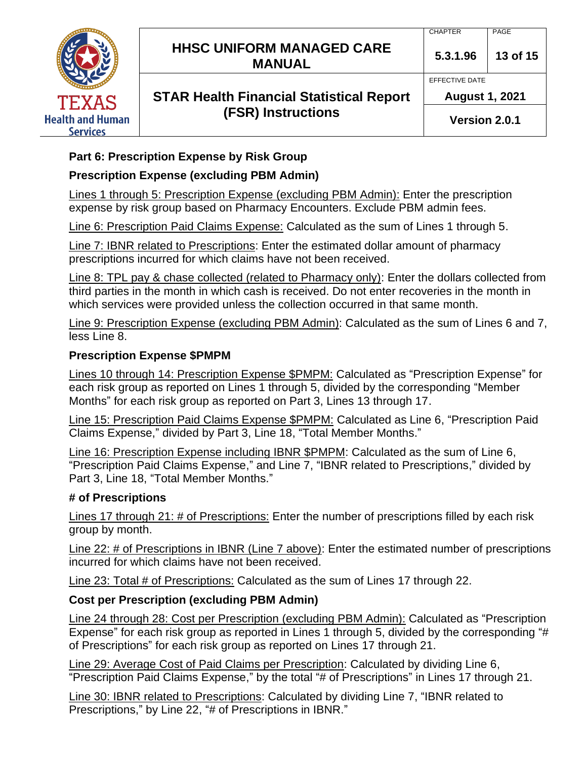|                                            | <b>HHSC UNIFORM MANAGED CARE</b><br><b>MANUAL</b> | <b>CHAPTER</b><br>5.3.1.96              | PAGE<br>13 of 15 |
|--------------------------------------------|---------------------------------------------------|-----------------------------------------|------------------|
| TEXAS                                      | <b>STAR Health Financial Statistical Report</b>   | EFFECTIVE DATE<br><b>August 1, 2021</b> |                  |
| <b>Health and Human</b><br><b>Services</b> | <b>(FSR) Instructions</b>                         | Version 2.0.1                           |                  |

## **Part 6: Prescription Expense by Risk Group**

## **Prescription Expense (excluding PBM Admin)**

Lines 1 through 5: Prescription Expense (excluding PBM Admin): Enter the prescription expense by risk group based on Pharmacy Encounters. Exclude PBM admin fees.

Line 6: Prescription Paid Claims Expense: Calculated as the sum of Lines 1 through 5.

Line 7: IBNR related to Prescriptions: Enter the estimated dollar amount of pharmacy prescriptions incurred for which claims have not been received.

Line 8: TPL pay & chase collected (related to Pharmacy only): Enter the dollars collected from third parties in the month in which cash is received. Do not enter recoveries in the month in which services were provided unless the collection occurred in that same month.

Line 9: Prescription Expense (excluding PBM Admin): Calculated as the sum of Lines 6 and 7, less Line 8.

## **Prescription Expense \$PMPM**

Lines 10 through 14: Prescription Expense \$PMPM: Calculated as "Prescription Expense" for each risk group as reported on Lines 1 through 5, divided by the corresponding "Member Months" for each risk group as reported on Part 3, Lines 13 through 17.

Line 15: Prescription Paid Claims Expense \$PMPM: Calculated as Line 6, "Prescription Paid Claims Expense," divided by Part 3, Line 18, "Total Member Months."

Line 16: Prescription Expense including IBNR \$PMPM: Calculated as the sum of Line 6, "Prescription Paid Claims Expense," and Line 7, "IBNR related to Prescriptions," divided by Part 3, Line 18, "Total Member Months."

## **# of Prescriptions**

Lines 17 through 21: # of Prescriptions: Enter the number of prescriptions filled by each risk group by month.

Line 22: # of Prescriptions in IBNR (Line 7 above): Enter the estimated number of prescriptions incurred for which claims have not been received.

Line 23: Total # of Prescriptions: Calculated as the sum of Lines 17 through 22.

## **Cost per Prescription (excluding PBM Admin)**

Line 24 through 28: Cost per Prescription (excluding PBM Admin): Calculated as "Prescription Expense" for each risk group as reported in Lines 1 through 5, divided by the corresponding "# of Prescriptions" for each risk group as reported on Lines 17 through 21.

Line 29: Average Cost of Paid Claims per Prescription: Calculated by dividing Line 6, "Prescription Paid Claims Expense," by the total "# of Prescriptions" in Lines 17 through 21.

Line 30: IBNR related to Prescriptions: Calculated by dividing Line 7, "IBNR related to Prescriptions," by Line 22, "# of Prescriptions in IBNR."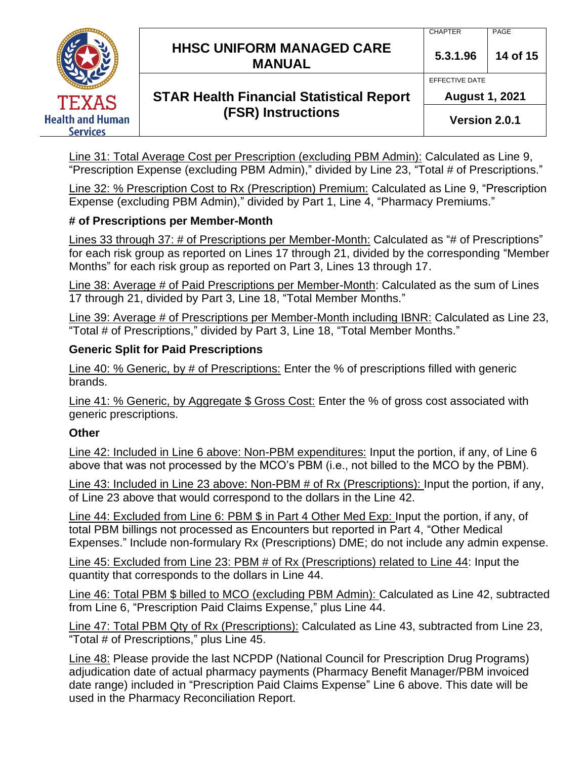|                                     | <b>HHSC UNIFORM MANAGED CARE</b><br><b>MANUAL</b> | <b>CHAPTER</b><br>5.3.1.96              | PAGE<br>14 of 15 |
|-------------------------------------|---------------------------------------------------|-----------------------------------------|------------------|
| <b>TEXAS</b>                        | <b>STAR Health Financial Statistical Report</b>   | EFFECTIVE DATE<br><b>August 1, 2021</b> |                  |
| <b>Health and Human</b><br>Services | <b>(FSR) Instructions</b>                         | Version 2.0.1                           |                  |

Line 31: Total Average Cost per Prescription (excluding PBM Admin): Calculated as Line 9, "Prescription Expense (excluding PBM Admin)," divided by Line 23, "Total # of Prescriptions."

Line 32: % Prescription Cost to Rx (Prescription) Premium: Calculated as Line 9, "Prescription Expense (excluding PBM Admin)," divided by Part 1, Line 4, "Pharmacy Premiums."

## **# of Prescriptions per Member-Month**

Lines 33 through 37: # of Prescriptions per Member-Month: Calculated as "# of Prescriptions" for each risk group as reported on Lines 17 through 21, divided by the corresponding "Member Months" for each risk group as reported on Part 3, Lines 13 through 17.

Line 38: Average # of Paid Prescriptions per Member-Month: Calculated as the sum of Lines 17 through 21, divided by Part 3, Line 18, "Total Member Months."

Line 39: Average # of Prescriptions per Member-Month including IBNR: Calculated as Line 23, "Total # of Prescriptions," divided by Part 3, Line 18, "Total Member Months."

## **Generic Split for Paid Prescriptions**

Line 40: % Generic, by # of Prescriptions: Enter the % of prescriptions filled with generic brands.

Line 41: % Generic, by Aggregate \$ Gross Cost: Enter the % of gross cost associated with generic prescriptions.

## **Other**

Line 42: Included in Line 6 above: Non-PBM expenditures: Input the portion, if any, of Line 6 above that was not processed by the MCO's PBM (i.e., not billed to the MCO by the PBM).

Line 43: Included in Line 23 above: Non-PBM # of Rx (Prescriptions): Input the portion, if any, of Line 23 above that would correspond to the dollars in the Line 42.

Line 44: Excluded from Line 6: PBM \$ in Part 4 Other Med Exp: Input the portion, if any, of total PBM billings not processed as Encounters but reported in Part 4, "Other Medical Expenses." Include non-formulary Rx (Prescriptions) DME; do not include any admin expense.

Line 45: Excluded from Line 23: PBM # of Rx (Prescriptions) related to Line 44: Input the quantity that corresponds to the dollars in Line 44.

Line 46: Total PBM \$ billed to MCO (excluding PBM Admin): Calculated as Line 42, subtracted from Line 6, "Prescription Paid Claims Expense," plus Line 44.

Line 47: Total PBM Qty of Rx (Prescriptions): Calculated as Line 43, subtracted from Line 23, "Total # of Prescriptions," plus Line 45.

Line 48: Please provide the last NCPDP (National Council for Prescription Drug Programs) adjudication date of actual pharmacy payments (Pharmacy Benefit Manager/PBM invoiced date range) included in "Prescription Paid Claims Expense" Line 6 above. This date will be used in the Pharmacy Reconciliation Report.